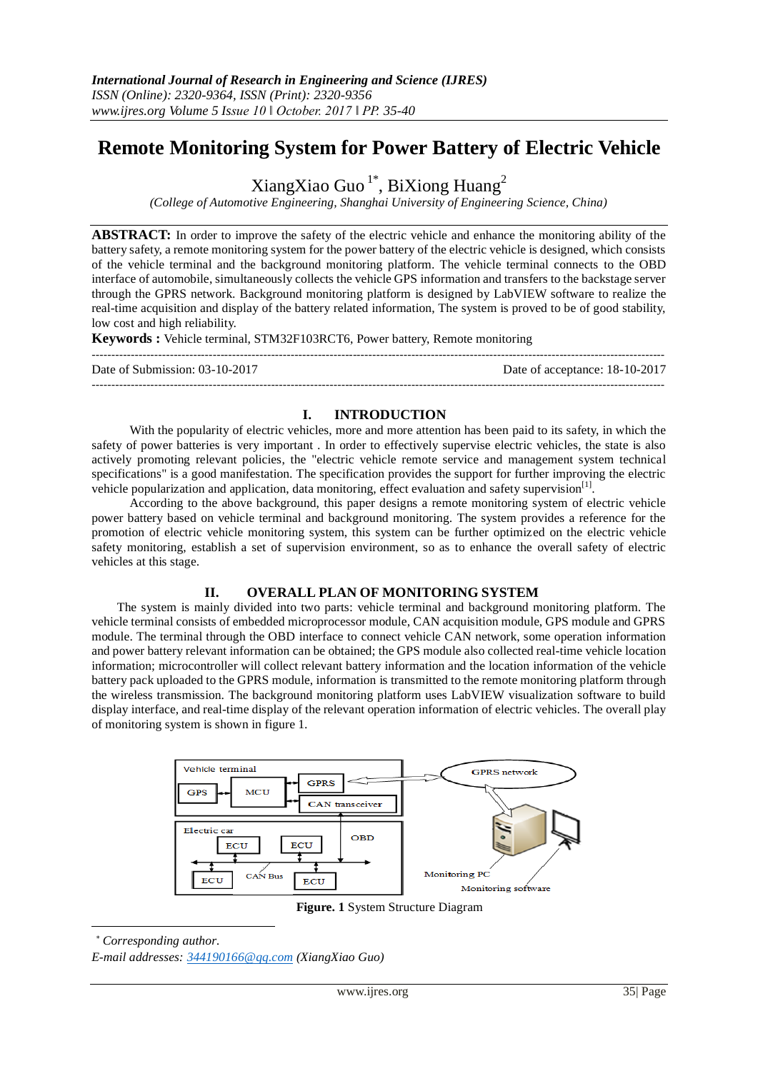# **Remote Monitoring System for Power Battery of Electric Vehicle**

XiangXiao Guo<sup>1\*</sup>, BiXiong Huang<sup>2</sup>

*(College of Automotive Engineering, Shanghai University of Engineering Science, China)*

**ABSTRACT:** In order to improve the safety of the electric vehicle and enhance the monitoring ability of the battery safety, a remote monitoring system for the power battery of the electric vehicle is designed, which consists of the vehicle terminal and the background monitoring platform. The vehicle terminal connects to the OBD interface of automobile, simultaneously collects the vehicle GPS information and transfers to the backstage server through the GPRS network. Background monitoring platform is designed by LabVIEW software to realize the real-time acquisition and display of the battery related information, The system is proved to be of good stability, low cost and high reliability.

**Keywords :** Vehicle terminal, STM32F103RCT6, Power battery, Remote monitoring

| Date of Submission: $03-10-2017$ | Date of acceptance: 18-10-2017 |
|----------------------------------|--------------------------------|
|                                  |                                |

# **I. INTRODUCTION**

With the popularity of electric vehicles, more and more attention has been paid to its safety, in which the safety of power batteries is very important . In order to effectively supervise electric vehicles, the state is also actively promoting relevant policies, the "electric vehicle remote service and management system technical specifications" is a good manifestation. The specification provides the support for further improving the electric vehicle popularization and application, data monitoring, effect evaluation and safety supervision<sup>[1]</sup>.

According to the above background, this paper designs a remote monitoring system of electric vehicle power battery based on vehicle terminal and background monitoring. The system provides a reference for the promotion of electric vehicle monitoring system, this system can be further optimized on the electric vehicle safety monitoring, establish a set of supervision environment, so as to enhance the overall safety of electric vehicles at this stage.

# **II. OVERALL PLAN OF MONITORING SYSTEM**

The system is mainly divided into two parts: vehicle terminal and background monitoring platform. The vehicle terminal consists of embedded microprocessor module, CAN acquisition module, GPS module and GPRS module. The terminal through the OBD interface to connect vehicle CAN network, some operation information and power battery relevant information can be obtained; the GPS module also collected real-time vehicle location information; microcontroller will collect relevant battery information and the location information of the vehicle battery pack uploaded to the GPRS module, information is transmitted to the remote monitoring platform through the wireless transmission. The background monitoring platform uses LabVIEW visualization software to build display interface, and real-time display of the relevant operation information of electric vehicles. The overall play of monitoring system is shown in figure 1.



**Figure. 1** System Structure Diagram

*Corresponding author.*

-

*E-mail addresses: [344190166@qq.com](mailto:344190166@qq.com) (XiangXiao Guo)*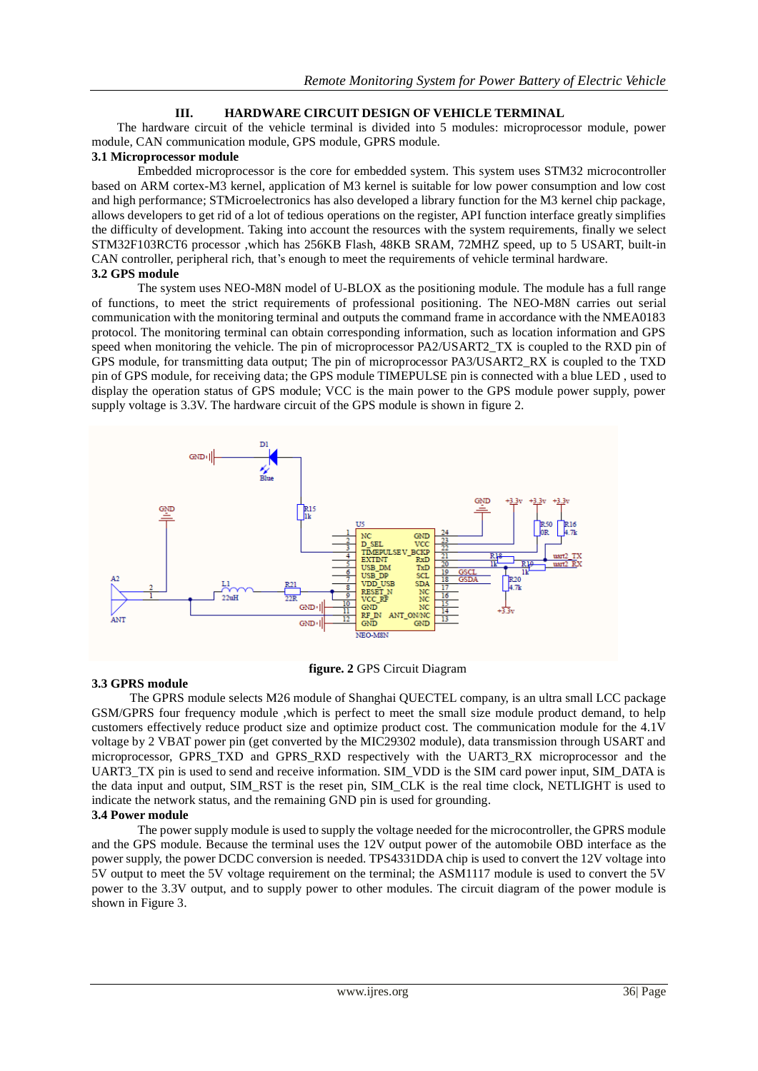# **III. HARDWARE CIRCUIT DESIGN OF VEHICLE TERMINAL**

The hardware circuit of the vehicle terminal is divided into 5 modules: microprocessor module, power module, CAN communication module, GPS module, GPRS module.

#### **3.1 Microprocessor module**

Embedded microprocessor is the core for embedded system. This system uses STM32 microcontroller based on ARM cortex-M3 kernel, application of M3 kernel is suitable for low power consumption and low cost and high performance; STMicroelectronics has also developed a library function for the M3 kernel chip package, allows developers to get rid of a lot of tedious operations on the register, API function interface greatly simplifies the difficulty of development. Taking into account the resources with the system requirements, finally we select STM32F103RCT6 processor ,which has 256KB Flash, 48KB SRAM, 72MHZ speed, up to 5 USART, built-in CAN controller, peripheral rich, that's enough to meet the requirements of vehicle terminal hardware. **3.2 GPS module**

The system uses NEO-M8N model of U-BLOX as the positioning module. The module has a full range of functions, to meet the strict requirements of professional positioning. The NEO-M8N carries out serial communication with the monitoring terminal and outputs the command frame in accordance with the NMEA0183 protocol. The monitoring terminal can obtain corresponding information, such as location information and GPS speed when monitoring the vehicle. The pin of microprocessor PA2/USART2\_TX is coupled to the RXD pin of GPS module, for transmitting data output; The pin of microprocessor PA3/USART2\_RX is coupled to the TXD pin of GPS module, for receiving data; the GPS module TIMEPULSE pin is connected with a blue LED , used to display the operation status of GPS module; VCC is the main power to the GPS module power supply, power supply voltage is 3.3V. The hardware circuit of the GPS module is shown in figure 2.



#### **3.3 GPRS module**

**figure. 2** GPS Circuit Diagram

The GPRS module selects M26 module of Shanghai QUECTEL company, is an ultra small LCC package GSM/GPRS four frequency module ,which is perfect to meet the small size module product demand, to help customers effectively reduce product size and optimize product cost. The communication module for the 4.1V voltage by 2 VBAT power pin (get converted by the MIC29302 module), data transmission through USART and microprocessor, GPRS\_TXD and GPRS\_RXD respectively with the UART3\_RX microprocessor and the UART3\_TX pin is used to send and receive information. SIM\_VDD is the SIM card power input, SIM\_DATA is the data input and output, SIM\_RST is the reset pin, SIM\_CLK is the real time clock, NETLIGHT is used to indicate the network status, and the remaining GND pin is used for grounding.

# **3.4 Power module**

The power supply module is used to supply the voltage needed for the microcontroller, the GPRS module and the GPS module. Because the terminal uses the 12V output power of the automobile OBD interface as the power supply, the power DCDC conversion is needed. TPS4331DDA chip is used to convert the 12V voltage into 5V output to meet the 5V voltage requirement on the terminal; the ASM1117 module is used to convert the 5V power to the 3.3V output, and to supply power to other modules. The circuit diagram of the power module is shown in Figure 3.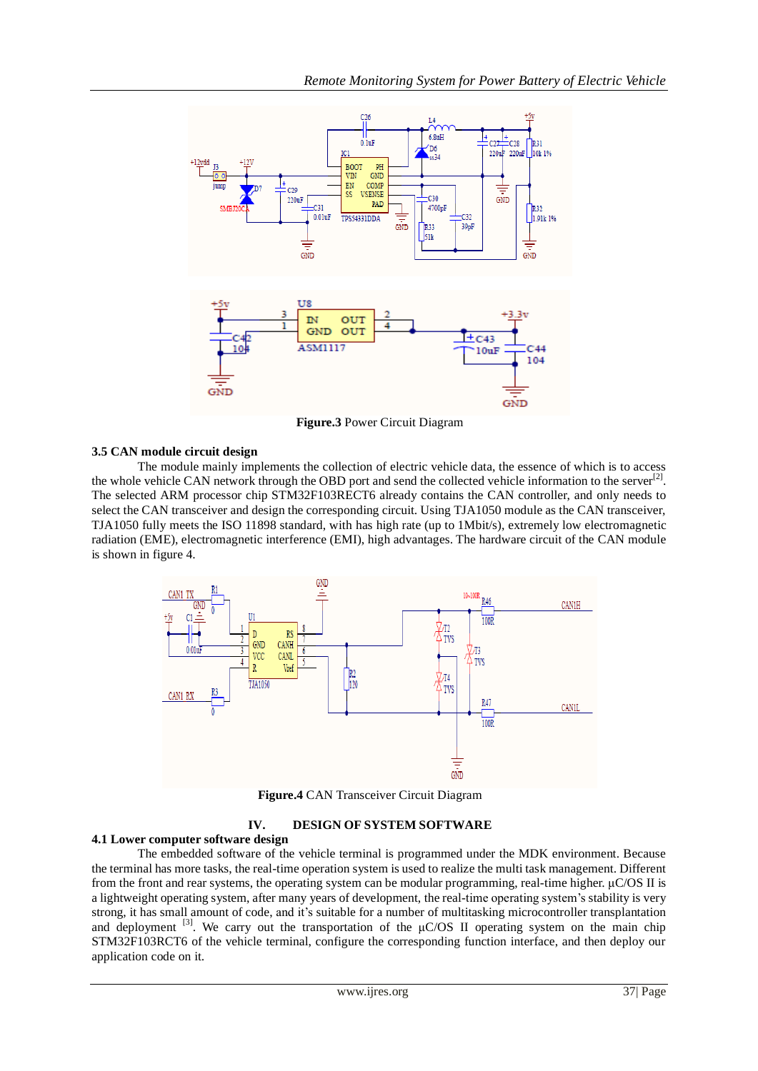

**Figure.3** Power Circuit Diagram

# **3.5 CAN module circuit design**

The module mainly implements the collection of electric vehicle data, the essence of which is to access the whole vehicle CAN network through the OBD port and send the collected vehicle information to the server $^{[2]}$ . The selected ARM processor chip STM32F103RECT6 already contains the CAN controller, and only needs to select the CAN transceiver and design the corresponding circuit. Using TJA1050 module as the CAN transceiver, TJA1050 fully meets the ISO 11898 standard, with has high rate (up to 1Mbit/s), extremely low electromagnetic radiation (EME), electromagnetic interference (EMI), high advantages. The hardware circuit of the CAN module is shown in figure 4.



**Figure.4** CAN Transceiver Circuit Diagram

# **IV. DESIGN OF SYSTEM SOFTWARE**

#### **4.1 Lower computer software design**

The embedded software of the vehicle terminal is programmed under the MDK environment. Because the terminal has more tasks, the real-time operation system is used to realize the multi task management. Different from the front and rear systems, the operating system can be modular programming, real-time higher. μC/OS II is a lightweight operating system, after many years of development, the real-time operating system's stability is very strong, it has small amount of code, and it's suitable for a number of multitasking microcontroller transplantation and deployment <sup>[3]</sup>. We carry out the transportation of the  $\mu$ C/OS II operating system on the main chip STM32F103RCT6 of the vehicle terminal, configure the corresponding function interface, and then deploy our application code on it.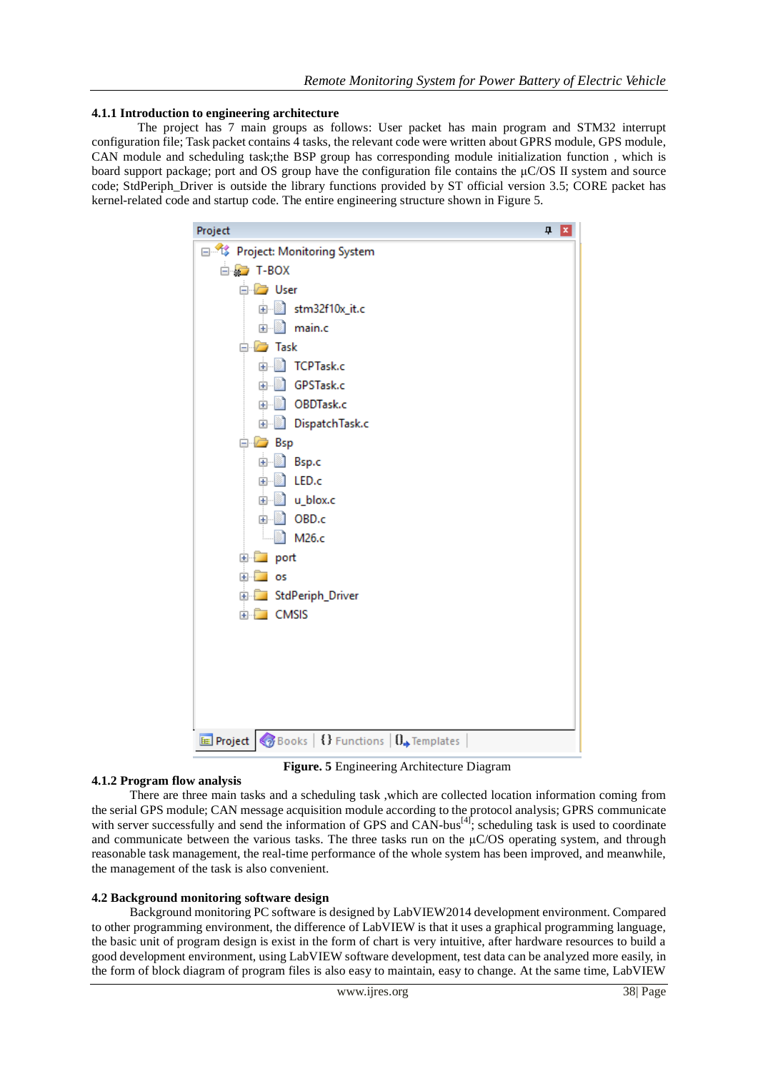#### **4.1.1 Introduction to engineering architecture**

The project has 7 main groups as follows: User packet has main program and STM32 interrupt configuration file; Task packet contains 4 tasks, the relevant code were written about GPRS module, GPS module, CAN module and scheduling task;the BSP group has corresponding module initialization function , which is board support package; port and OS group have the configuration file contains the μC/OS II system and source code; StdPeriph\_Driver is outside the library functions provided by ST official version 3.5; CORE packet has kernel-related code and startup code. The entire engineering structure shown in Figure 5.

| Project<br>$\mathbf{u}$ x                                                        |
|----------------------------------------------------------------------------------|
| 日 System Project: Monitoring System                                              |
| ⊟ a T-BOX                                                                        |
| ⊟ <i>i</i> User                                                                  |
| in stm32f10x_it.c                                                                |
| 由 nain.c                                                                         |
| $\Box$ Task                                                                      |
| 由 TCPTask.c                                                                      |
| 画 <b>GPSTask.c</b>                                                               |
| 由 1 OBDTask.c                                                                    |
| <b>E DispatchTask.c</b>                                                          |
| <b>⊟</b> <i>D</i> Bsp                                                            |
| 由 Bsp.c                                                                          |
| 面 in LED.c                                                                       |
| 由 1 u_blox.c                                                                     |
| 由 i OBD.c                                                                        |
| ീ M26.c                                                                          |
| ⊕ Dont<br>E os                                                                   |
|                                                                                  |
| <b>E</b> StdPeriph_Driver<br>E CMSIS                                             |
|                                                                                  |
|                                                                                  |
|                                                                                  |
|                                                                                  |
|                                                                                  |
|                                                                                  |
| <b>E</b> Project $\otimes$ Books   {} Functions $\mathbf{0}_{\bullet}$ Templates |

**Figure. 5** Engineering Architecture Diagram

#### **4.1.2 Program flow analysis**

There are three main tasks and a scheduling task ,which are collected location information coming from the serial GPS module; CAN message acquisition module according to the protocol analysis; GPRS communicate with server successfully and send the information of GPS and CAN-bus $^{[4]}$ ; scheduling task is used to coordinate and communicate between the various tasks. The three tasks run on the  $\mu$ C/OS operating system, and through reasonable task management, the real-time performance of the whole system has been improved, and meanwhile, the management of the task is also convenient.

#### **4.2 Background monitoring software design**

Background monitoring PC software is designed by LabVIEW2014 development environment. Compared to other programming environment, the difference of LabVIEW is that it uses a graphical programming language, the basic unit of program design is exist in the form of chart is very intuitive, after hardware resources to build a good development environment, using LabVIEW software development, test data can be analyzed more easily, in the form of block diagram of program files is also easy to maintain, easy to change. At the same time, LabVIEW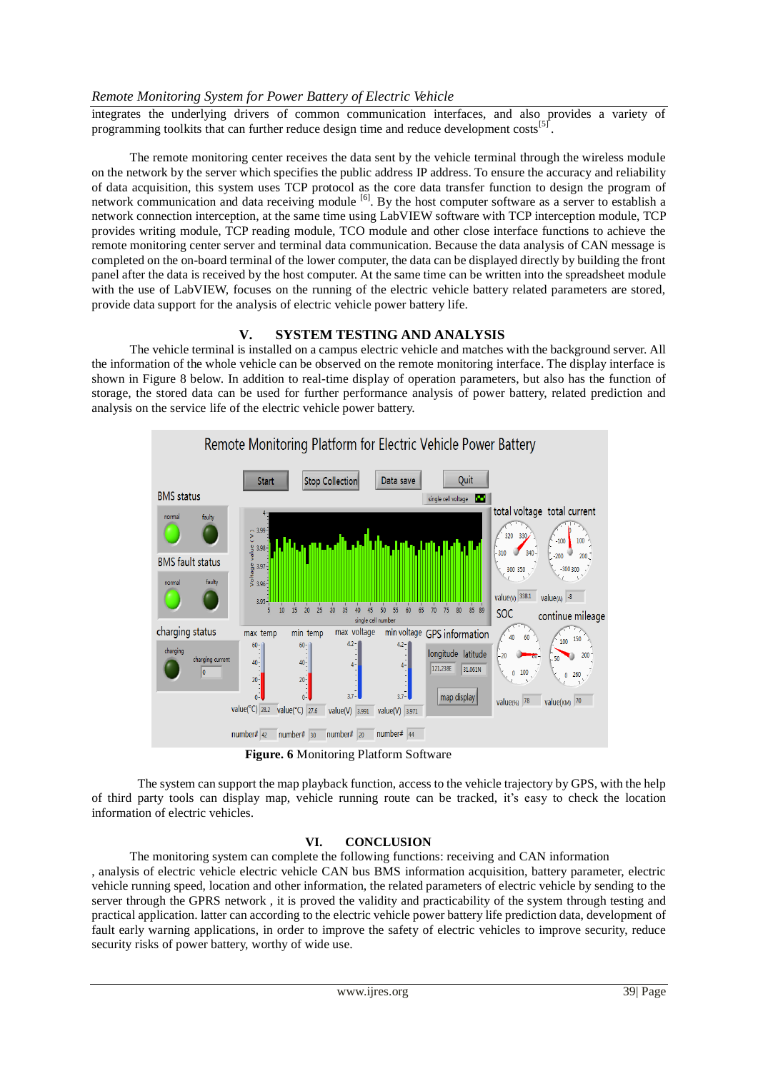# *Remote Monitoring System for Power Battery of Electric Vehicle*

integrates the underlying drivers of common communication interfaces, and also provides a variety of programming toolkits that can further reduce design time and reduce development costs<sup>[5</sup>] .

The remote monitoring center receives the data sent by the vehicle terminal through the wireless module on the network by the server which specifies the public address IP address. To ensure the accuracy and reliability of data acquisition, this system uses TCP protocol as the core data transfer function to design the program of network communication and data receiving module <sup>[6]</sup>. By the host computer software as a server to establish a network connection interception, at the same time using LabVIEW software with TCP interception module, TCP provides writing module, TCP reading module, TCO module and other close interface functions to achieve the remote monitoring center server and terminal data communication. Because the data analysis of CAN message is completed on the on-board terminal of the lower computer, the data can be displayed directly by building the front panel after the data is received by the host computer. At the same time can be written into the spreadsheet module with the use of LabVIEW, focuses on the running of the electric vehicle battery related parameters are stored, provide data support for the analysis of electric vehicle power battery life.

# **V. SYSTEM TESTING AND ANALYSIS**

The vehicle terminal is installed on a campus electric vehicle and matches with the background server. All the information of the whole vehicle can be observed on the remote monitoring interface. The display interface is shown in Figure 8 below. In addition to real-time display of operation parameters, but also has the function of storage, the stored data can be used for further performance analysis of power battery, related prediction and analysis on the service life of the electric vehicle power battery.



**Figure. 6** Monitoring Platform Software

The system can support the map playback function, access to the vehicle trajectory by GPS, with the help of third party tools can display map, vehicle running route can be tracked, it's easy to check the location information of electric vehicles.

# **VI. CONCLUSION**

The monitoring system can complete the following functions: receiving and CAN information , analysis of electric vehicle electric vehicle CAN bus BMS information acquisition, battery parameter, electric vehicle running speed, location and other information, the related parameters of electric vehicle by sending to the server through the GPRS network , it is proved the validity and practicability of the system through testing and practical application. latter can according to the electric vehicle power battery life prediction data, development of fault early warning applications, in order to improve the safety of electric vehicles to improve security, reduce security risks of power battery, worthy of wide use.